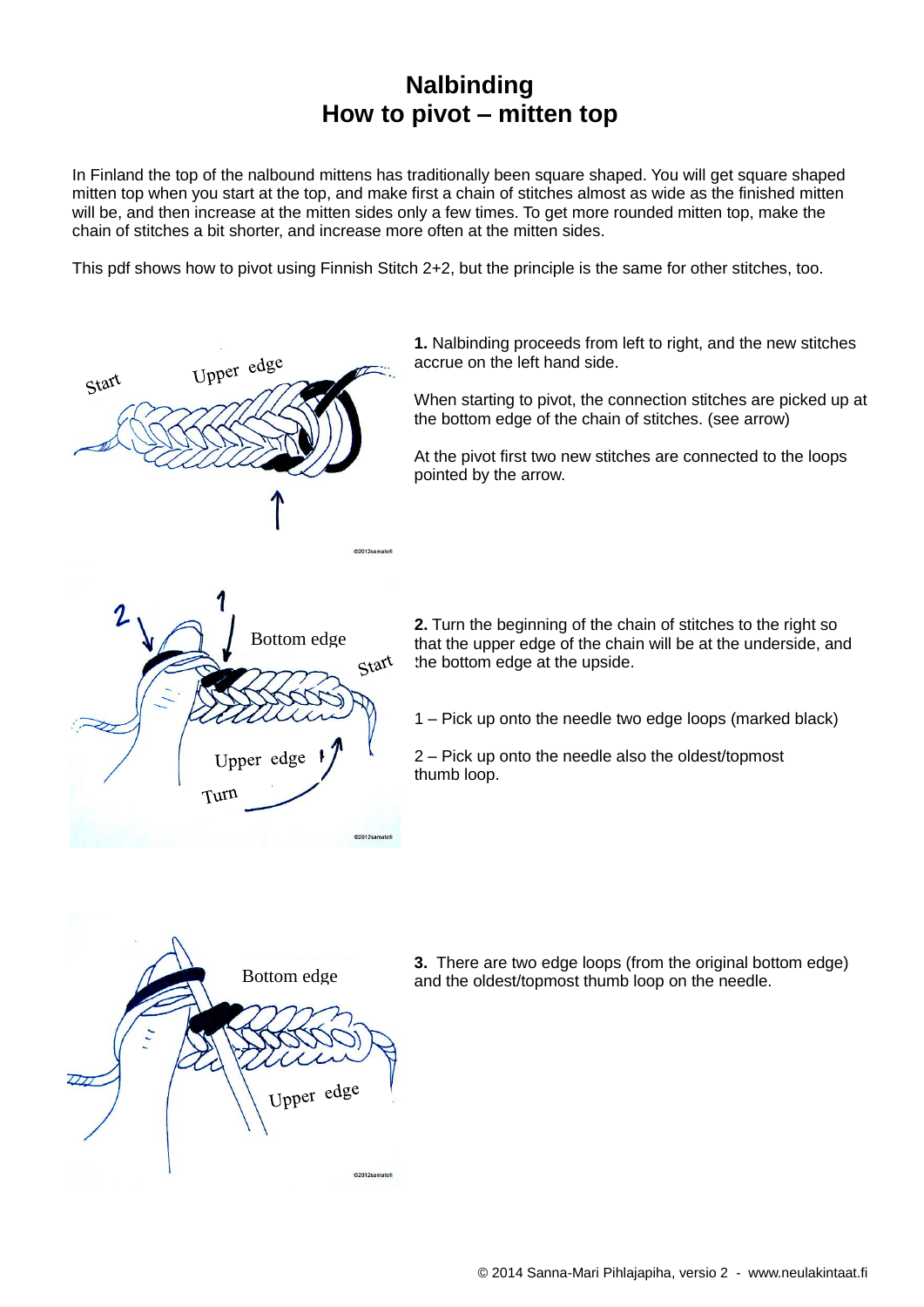## **Nalbinding How to pivot – mitten top**

In Finland the top of the nalbound mittens has traditionally been square shaped. You will get square shaped mitten top when you start at the top, and make first a chain of stitches almost as wide as the finished mitten will be, and then increase at the mitten sides only a few times. To get more rounded mitten top, make the chain of stitches a bit shorter, and increase more often at the mitten sides.

This pdf shows how to pivot using Finnish Stitch 2+2, but the principle is the same for other stitches, too.

Upper edge Start @2012samatof Bottom edgeStart Upper edge Turn

**1.** Nalbinding proceeds from left to right, and the new stitches accrue on the left hand side.

When starting to pivot, the connection stitches are picked up at the bottom edge of the chain of stitches. (see arrow)

At the pivot first two new stitches are connected to the loops pointed by the arrow.

**2.** Turn the beginning of the chain of stitches to the right so that the upper edge of the chain will be at the underside, and the bottom edge at the upside.

1 – Pick up onto the needle two edge loops (marked black)

2 – Pick up onto the needle also the oldest/topmost thumb loop.



**3.** There are two edge loops (from the original bottom edge) Bottom edge and the oldest/topmost thumb loop on the needle.